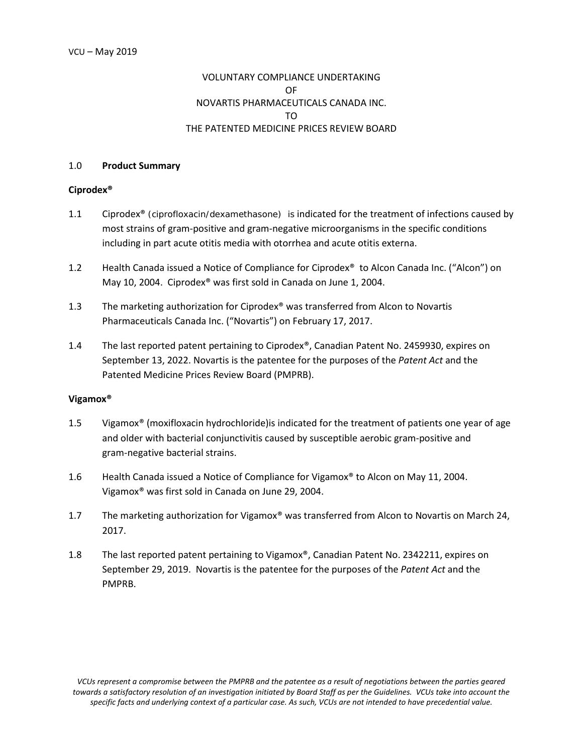# VOLUNTARY COMPLIANCE UNDERTAKING OF NOVARTIS PHARMACEUTICALS CANADA INC. TO THE PATENTED MEDICINE PRICES REVIEW BOARD

#### 1.0 **Product Summary**

#### **Ciprodex®**

- 1.1 Ciprodex® (ciprofloxacin/dexamethasone) is indicated for the treatment of infections caused by most strains of gram-positive and gram-negative microorganisms in the specific conditions including in part acute otitis media with otorrhea and acute otitis externa.
- 1.2 Health Canada issued a Notice of Compliance for Ciprodex® to Alcon Canada Inc. ("Alcon") on May 10, 2004. Ciprodex® was first sold in Canada on June 1, 2004.
- 1.3 The marketing authorization for Ciprodex® was transferred from Alcon to Novartis Pharmaceuticals Canada Inc. ("Novartis") on February 17, 2017.
- 1.4 The last reported patent pertaining to Ciprodex®, Canadian Patent No. 2459930, expires on September 13, 2022. Novartis is the patentee for the purposes of the *Patent Act* and the Patented Medicine Prices Review Board (PMPRB).

#### **Vigamox®**

- 1.5 Vigamox® (moxifloxacin hydrochloride)is indicated for the treatment of patients one year of age and older with bacterial conjunctivitis caused by susceptible aerobic gram-positive and gram-negative bacterial strains.
- 1.6 Health Canada issued a Notice of Compliance for Vigamox® to Alcon on May 11, 2004. Vigamox® was first sold in Canada on June 29, 2004.
- 1.7 The marketing authorization for Vigamox® was transferred from Alcon to Novartis on March 24, 2017.
- 1.8 The last reported patent pertaining to Vigamox®, Canadian Patent No. 2342211, expires on September 29, 2019. Novartis is the patentee for the purposes of the *Patent Act* and the PMPRB.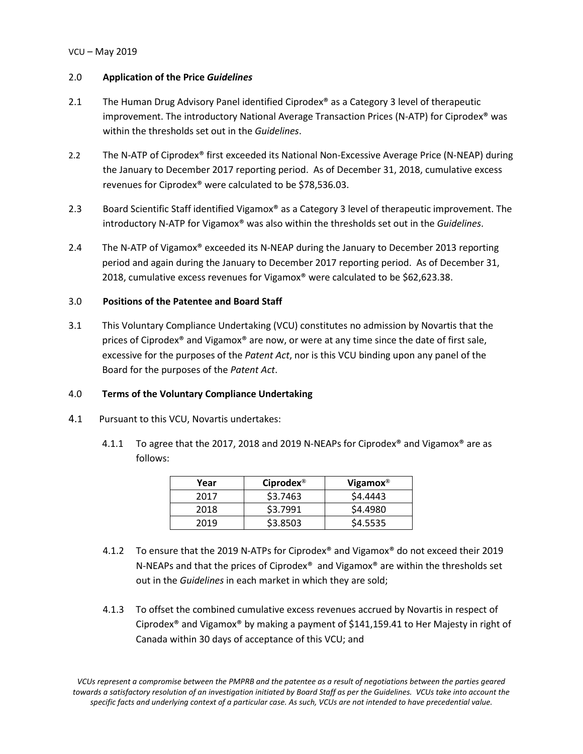## VCU – May 2019

## 2.0 **Application of the Price** *Guidelines*

- 2.1 The Human Drug Advisory Panel identified Ciprodex<sup>®</sup> as a Category 3 level of therapeutic improvement. The introductory National Average Transaction Prices (N-ATP) for Ciprodex® was within the thresholds set out in the *Guidelines*.
- 2.2 The N-ATP of Ciprodex® first exceeded its National Non-Excessive Average Price (N-NEAP) during the January to December 2017 reporting period. As of December 31, 2018, cumulative excess revenues for Ciprodex® were calculated to be \$78,536.03.
- 2.3 Board Scientific Staff identified Vigamox<sup>®</sup> as a Category 3 level of therapeutic improvement. The introductory N-ATP for Vigamox® was also within the thresholds set out in the *Guidelines*.
- 2.4 The N-ATP of Vigamox® exceeded its N-NEAP during the January to December 2013 reporting period and again during the January to December 2017 reporting period. As of December 31, 2018, cumulative excess revenues for Vigamox® were calculated to be \$62,623.38.

# 3.0 **Positions of the Patentee and Board Staff**

3.1 This Voluntary Compliance Undertaking (VCU) constitutes no admission by Novartis that the prices of Ciprodex® and Vigamox® are now, or were at any time since the date of first sale, excessive for the purposes of the *Patent Act*, nor is this VCU binding upon any panel of the Board for the purposes of the *Patent Act*.

# 4.0 **Terms of the Voluntary Compliance Undertaking**

- 4.1 Pursuant to this VCU, Novartis undertakes:
	- 4.1.1 To agree that the 2017, 2018 and 2019 N-NEAPs for Ciprodex® and Vigamox® are as follows:

| Year | Ciprodex <sup>®</sup> | Vigamox $^{\circledR}$ |
|------|-----------------------|------------------------|
| 2017 | \$3.7463              | \$4,4443               |
| 2018 | \$3.7991              | \$4,4980               |
| 2019 | \$3.8503              | \$4.5535               |

- 4.1.2 To ensure that the 2019 N-ATPs for Ciprodex® and Vigamox® do not exceed their 2019 N-NEAPs and that the prices of Ciprodex® and Vigamox® are within the thresholds set out in the *Guidelines* in each market in which they are sold;
- 4.1.3 To offset the combined cumulative excess revenues accrued by Novartis in respect of Ciprodex® and Vigamox® by making a payment of \$141,159.41 to Her Majesty in right of Canada within 30 days of acceptance of this VCU; and

*VCUs represent a compromise between the PMPRB and the patentee as a result of negotiations between the parties geared towards a satisfactory resolution of an investigation initiated by Board Staff as per the Guidelines. VCUs take into account the specific facts and underlying context of a particular case. As such, VCUs are not intended to have precedential value.*